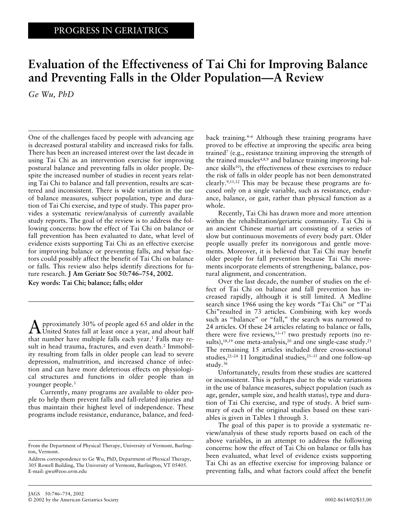# **Evaluation of the Effectiveness of Tai Chi for Improving Balance and Preventing Falls in the Older Population—A Review**

*Ge Wu, PhD*

One of the challenges faced by people with advancing age is decreased postural stability and increased risks for falls. There has been an increased interest over the last decade in using Tai Chi as an intervention exercise for improving postural balance and preventing falls in older people. Despite the increased number of studies in recent years relating Tai Chi to balance and fall prevention, results are scattered and inconsistent. There is wide variation in the use of balance measures, subject population, type and duration of Tai Chi exercise, and type of study. This paper provides a systematic review/analysis of currently available study reports. The goal of the review is to address the following concerns: how the effect of Tai Chi on balance or fall prevention has been evaluated to date, what level of evidence exists supporting Tai Chi as an effective exercise for improving balance or preventing falls, and what factors could possibly affect the benefit of Tai Chi on balance or falls. This review also helps identify directions for future research. **J Am Geriatr Soc 50:746–754, 2002.**

**Key words: Tai Chi; balance; falls; older**

pproximately 30% of people aged 65 and older in the A pproximately 30% of people aged 65 and older in the<br>United States fall at least once a year, and about half that number have multiple falls each year.<sup>1</sup> Falls may result in head trauma, fractures, and even death.<sup>2</sup> Immobility resulting from falls in older people can lead to severe depression, malnutrition, and increased chance of infection and can have more deleterious effects on physiological structures and functions in older people than in younger people.3

Currently, many programs are available to older people to help them prevent falls and fall-related injuries and thus maintain their highest level of independence. These programs include resistance, endurance, balance, and feed-

back training.<sup>4-6</sup> Although these training programs have proved to be effective at improving the specific area being trained7 (e.g., resistance training improving the strength of the trained muscles<sup>4,8,9</sup> and balance training improving balance skills<sup>10</sup>), the effectiveness of these exercises to reduce the risk of falls in older people has not been demonstrated clearly.9,11,12 This may be because these programs are focused only on a single variable, such as resistance, endurance, balance, or gait, rather than physical function as a whole.

Recently, Tai Chi has drawn more and more attention within the rehabilitation/geriatric community. Tai Chi is an ancient Chinese martial art consisting of a series of slow but continuous movements of every body part. Older people usually prefer its nonvigorous and gentle movements. Moreover, it is believed that Tai Chi may benefit older people for fall prevention because Tai Chi movements incorporate elements of strengthening, balance, postural alignment, and concentration.

Over the last decade, the number of studies on the effect of Tai Chi on balance and fall prevention has increased rapidly, although it is still limited. A Medline search since 1966 using the key words "Tai Chi" or "T'ai Chi"resulted in 73 articles. Combining with key words such as "balance" or "fall," the search was narrowed to 24 articles. Of these 24 articles relating to balance or falls, there were five reviews, $13-17$  two prestudy reports (no results), $18,19$  one meta-analysis, $20$  and one single-case study. $21$ The remaining 15 articles included three cross-sectional studies, $2^{2-24}$  11 longitudinal studies, $2^{5-35}$  and one follow-up study.36

Unfortunately, results from these studies are scattered or inconsistent. This is perhaps due to the wide variations in the use of balance measures, subject population (such as age, gender, sample size, and health status), type and duration of Tai Chi exercise, and type of study. A brief summary of each of the original studies based on these variables is given in Tables 1 through 3.

The goal of this paper is to provide a systematic review/analysis of these study reports based on each of the above variables, in an attempt to address the following concerns: how the effect of Tai Chi on balance or falls has been evaluated, what level of evidence exists supporting Tai Chi as an effective exercise for improving balance or preventing falls, and what factors could affect the benefit

From the Department of Physical Therapy, University of Vermont, Burlington, Vermont.

Address correspondence to Ge Wu, PhD, Department of Physical Therapy, 305 Rowell Building, The University of Vermont, Burlington, VT 05405. E-mail: gwu@zoo.uvm.edu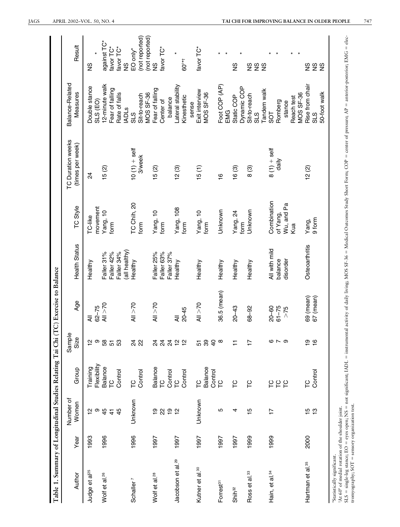| Table 1. Summary of Longitudinal Studies Relating Tai Chi |      |                                                                                       |                           |                             | (TC) Exercise to Balance |                      |                     |                          |                           |                                  |
|-----------------------------------------------------------|------|---------------------------------------------------------------------------------------|---------------------------|-----------------------------|--------------------------|----------------------|---------------------|--------------------------|---------------------------|----------------------------------|
|                                                           |      | Number of                                                                             |                           | Ф<br>Sampl                  |                          |                      |                     | <b>TC Duration weeks</b> | Balance-Related           |                                  |
| Author                                                    | Year | Women                                                                                 | Group                     | Size                        | Age                      | <b>Health Status</b> | TC Style            | (times per week)         | Measures                  | Result                           |
| Judge et al <sup>25</sup>                                 | 1993 | ပ္ ၈                                                                                  | Flexibility<br>Training   | ၜ<br>51                     | $62 - 75$<br>₹           | Healthy              | movement<br>TC-like | $\overline{2}$           | Double stance<br>SLS (EO) | Sa                               |
| Wolf et al. <sup>26</sup>                                 | 1996 |                                                                                       | Balance                   | 58                          | All > 70                 | Faller 31%           | Yang, 10            | 15(2)                    | 12-minute walk            | against TC*                      |
|                                                           |      | 45                                                                                    | P                         | 57                          |                          | Faller 42%           | form                |                          | Fear of falling           | favor TC*                        |
|                                                           |      | 45                                                                                    | Control                   | 53                          |                          | Faller 34%           |                     |                          | Rate of falls             | favor TC*                        |
|                                                           |      |                                                                                       |                           |                             |                          | (all healthy)        |                     |                          | <b>IADLS</b>              | $\frac{9}{2}$                    |
| Schaller <sup>7</sup>                                     | 1996 | Unknown                                                                               | $\rm 5$                   | ನೆ ನಿ                       | AN > 70                  | Healthy              | TC Chih, 20         | $10(1) + \text{self}$    | S <sub>1</sub> S          | EO only*                         |
|                                                           |      |                                                                                       | Control                   |                             |                          |                      | form                | 3/week                   | MOS SF-36<br>Sit-to-reach | (not reported)<br>(not reported) |
| Wolf et al. <sup>28</sup>                                 | 1997 |                                                                                       | Balance                   |                             | AN > 70                  | Faller 25%           | Yang, 10            | 15(2)                    | Fear of falling           | $\frac{9}{2}$                    |
|                                                           |      | $\begin{array}{c} \mathfrak{D}\;\mathfrak{D}\;\mathfrak{D}\;\mathfrak{D} \end{array}$ | P                         | 24<br>24                    |                          | Faller 63%           | form                |                          | Center of                 | favor TC*                        |
|                                                           |      |                                                                                       | Control                   | $\overline{2}$              |                          | Faller 37%           |                     |                          | balance                   |                                  |
| Jacobson et al. <sup>29</sup>                             | 1997 |                                                                                       | <b>PC</b>                 | $\frac{2}{5}$ $\frac{2}{5}$ | ₹                        | Healthy              | Yang, 108           | 12(3)                    | Lateral stability         | $\star$                          |
|                                                           |      |                                                                                       | Control                   |                             | 20-45                    |                      | form                |                          | Kinesthetic               | $60^{\circ*}$                    |
|                                                           |      |                                                                                       |                           |                             |                          |                      |                     |                          | sense                     |                                  |
| Kutner et al. <sup>30</sup>                               | 1997 | Unknown                                                                               | P                         | 57                          | All > 70                 | Healthy              | Yang, 10            | 15(1)                    | Exit interview            | favor TC*                        |
|                                                           |      |                                                                                       | <b>Balance</b><br>Control | 39<br>$\overline{a}$        |                          |                      | form                |                          | MOS SF-36                 |                                  |
| Forrest <sup>at</sup>                                     | 1997 | Ю                                                                                     | ဥ                         | $\infty$                    | 36.5 (mean)              | Healthy              | Unknown             | $\frac{6}{1}$            | Foot COP (AP)             |                                  |
|                                                           |      |                                                                                       |                           |                             |                          |                      |                     |                          | EMG                       |                                  |
| Shih <sup>32</sup>                                        | 1997 | 4                                                                                     | ဥ                         | Ξ                           | $20 - 43$                | Healthy              | Yang, 24            | 16(3)                    | Static COP                | 9S                               |
|                                                           |      |                                                                                       |                           |                             |                          |                      | form                |                          | Dynamic COP               |                                  |
| Ross et al. <sup>33</sup>                                 | 1999 | $\frac{15}{1}$                                                                        | ဥ                         | 17                          | 68-92                    | Healthy              | Unknown             | $\frac{8}{9}$            | Sit-to-reach              | <b>SSS</b>                       |
|                                                           |      |                                                                                       |                           |                             |                          |                      |                     |                          | S <sub>1</sub> S          |                                  |
|                                                           |      |                                                                                       |                           |                             |                          |                      |                     |                          | Tandem walk               |                                  |
| Hain, et al. <sup>34</sup>                                | 1999 | $\overline{1}$                                                                        |                           | $\sim$ $\sim$               | $20 - 60$                | All with mild        | Combination         | $8(1) + \text{self}$     | 5OT                       |                                  |
|                                                           |      |                                                                                       | 222                       |                             | $61 - 75$                | balance              | of Yang,            | $d$ aily                 | Romberg                   |                                  |
|                                                           |      |                                                                                       |                           | ၜ                           | >75                      | disorder             | Wu, and Pa          |                          | stance                    |                                  |
|                                                           |      |                                                                                       |                           |                             |                          |                      | Kua                 |                          | Reach test                |                                  |
|                                                           |      |                                                                                       |                           |                             |                          |                      |                     |                          | MOS SF-36                 |                                  |
| Hartman et al. <sup>35</sup>                              | 2000 | $\frac{15}{10}$                                                                       | C                         | $\frac{9}{16}$              | 69 (mean)<br>67 (mean)   | Osteoarthritis       | Yang,               | 12(2)                    | Rise from chair           | 9S                               |
|                                                           |      |                                                                                       | Control                   |                             |                          |                      | 9 form              |                          | S <sub>1</sub> S          | $rac{8}{5}$                      |
|                                                           |      |                                                                                       |                           |                             |                          |                      |                     |                          | 50-foot walk              |                                  |
| *Statistically significant.                               |      |                                                                                       |                           |                             |                          |                      |                     |                          |                           |                                  |

o.<br>"At 60° of medial rotation of the shoulder joint.<br>SLS = single-leg stance; EO = eyes open; NS = not significant; IADL = instrumental activity of daily living; MOS SF-36 = Medical Outcomes Study Short Form; COP = cente SLS = single-leg stance; EO = eyes open; NS = not significant; IADL = instrumental activity of daily living; MOS SF-36 = Medical Outcomes Study Short Form; COP = center of pressure; AP = anterior-posterior; EMG = electromyography; SOT sensory organization test.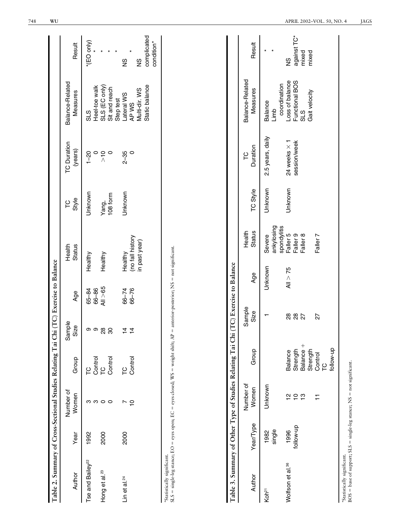| Table 2. Summary of Cross-Sectional Studies Relating Tai C          |                   |                    |                                  |                           | hi (TC) Exercise to Balance |                                                                        |                   |                                         |                                                          |                                       |
|---------------------------------------------------------------------|-------------------|--------------------|----------------------------------|---------------------------|-----------------------------|------------------------------------------------------------------------|-------------------|-----------------------------------------|----------------------------------------------------------|---------------------------------------|
| Author                                                              | Year              | Number of<br>Women | Group                            | Sample<br>Size            | Age                         | Health<br>Status                                                       | Style<br>ဥ        | <b>TC Duration</b><br>(years)           | Balance-Related<br>Measures                              | Result                                |
| Tse and Bailey <sup>22</sup>                                        | 1992              |                    | TC<br>Control<br>TC              |                           | 65-84<br>66-86              | Healthy                                                                | Unknown           | $\circ$<br>$1 - 20$                     | Heel-toe walk<br>STS                                     | *(EO only)                            |
| Hong et al. <sup>23</sup>                                           | 2000              | <b>00000</b>       | Control                          | စ စ စ္လ <u>ဥ</u>          | All > 65                    | Healthy                                                                | Yang,<br>108 form | $\mathop{\mathsf{S}}_\wedge^\mathsf{O}$ | SLS (EC only)<br>Sit and reach                           |                                       |
| Lin et al. <sup>24</sup>                                            | 2000              |                    |                                  |                           |                             | Healthy                                                                | Unknown           |                                         | Lateral WS<br>Step test                                  | $\frac{8}{2}$                         |
|                                                                     |                   | $\frac{1}{2}$      | TC<br>Control                    | $rac{1}{4}$               | 66-74<br>66-76              | (no fall history<br>in past year)                                      |                   | $2 - 35$                                | Multi-dir. WS<br>AP WS                                   | SZ                                    |
|                                                                     |                   |                    |                                  |                           |                             |                                                                        |                   |                                         | Static balance                                           | complicated<br>condition*             |
| Table 3. Summary of Other Type of Studies Relating Tai Cl<br>Author | Year/Type         | Number of<br>Women | Group                            | Sample<br>Size            | ni (TC) Exercise to Balance | Health<br>Status<br>Age                                                | TC Style          | Duration<br><b>P</b>                    | Balance-Related<br>Measures                              | Result                                |
| Koh <sup>21</sup>                                                   | single<br>1982    | Unknown            |                                  |                           |                             | ankylosing<br>Severe<br>Unknown                                        | Unknown           | 2.5 years, daily                        | <b>Balance</b><br>Limb                                   |                                       |
| Wolfson et al. <sup>36</sup>                                        | follow-up<br>1996 | 292                | Balance +<br>Strength<br>Balance | $_{\rm 28}^{\rm 8}$<br>28 |                             | spondylitis<br>Faller 5<br>Faller 9<br>Faller <sub>8</sub><br>All > 75 | Unknown           | 24 weeks $\times$ 1<br>session/week     | Loss of balance<br>Functional BOS<br>coordination<br>51S | against TC*<br>mixed<br>$\frac{8}{2}$ |
|                                                                     |                   | ≓                  | Strength<br>Control<br>P         | 27                        |                             | Faller 7                                                               |                   |                                         | Gait velocity                                            | mixed                                 |
|                                                                     |                   |                    | follow-up                        |                           |                             |                                                                        |                   |                                         |                                                          |                                       |
|                                                                     |                   |                    |                                  |                           |                             |                                                                        |                   |                                         |                                                          |                                       |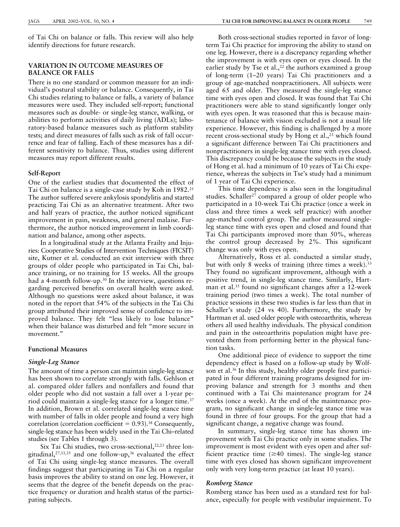of Tai Chi on balance or falls. This review will also help identify directions for future research.

#### **VARIATION IN OUTCOME MEASURES OF BALANCE OR FALLS**

There is no one standard or common measure for an individual's postural stability or balance. Consequently, in Tai Chi studies relating to balance or falls, a variety of balance measures were used. They included self-report; functional measures such as double- or single-leg stance, walking, or abilities to perform activities of daily living (ADLs); laboratory-based balance measures such as platform stability tests; and direct measures of falls such as risk of fall occurrence and fear of falling. Each of these measures has a different sensitivity to balance. Thus, studies using different measures may report different results.

#### **Self-Report**

One of the earliest studies that documented the effect of Tai Chi on balance is a single-case study by Koh in 1982.21 The author suffered severe ankylosis spondylitis and started practicing Tai Chi as an alternative treatment. After two and half years of practice, the author noticed significant improvement in pain, weakness, and general malaise. Furthermore, the author noticed improvement in limb coordination and balance, among other aspects.

In a longitudinal study at the Atlanta Frailty and Injuries: Cooperative Studies of Intervention Techniques (FICSIT) site, Kutner et al. conducted an exit interview with three groups of older people who participated in Tai Chi, balance training, or no training for 15 weeks. All the groups had a 4-month follow-up.<sup>30</sup> In the interview, questions regarding perceived benefits on overall health were asked. Although no questions were asked about balance, it was noted in the report that 54% of the subjects in the Tai Chi group attributed their improved sense of confidence to improved balance. They felt "less likely to lose balance" when their balance was disturbed and felt "more secure in movement."

#### **Functional Measures**

#### *Single-Leg Stance*

The amount of time a person can maintain single-leg stance has been shown to correlate strongly with falls. Gehlson et al. compared older fallers and nonfallers and found that older people who did not sustain a fall over a 1-year period could maintain a single-leg stance for a longer time.37 In addition, Brown et al. correlated single-leg stance time with number of falls in older people and found a very high correlation (correlation coefficient  $= 0.93$ ).<sup>38</sup> Consequently, single-leg stance has been widely used in the Tai Chi–related studies (see Tables 1 through 3).

Six Tai Chi studies, two cross-sectional,<sup>22,23</sup> three longitudinal,27,33,35 and one follow-up,36 evaluated the effect of Tai Chi using single-leg stance measures. The overall findings suggest that participating in Tai Chi on a regular basis improves the ability to stand on one leg. However, it seems that the degree of the benefit depends on the practice frequency or duration and health status of the participating subjects.

Both cross-sectional studies reported in favor of longterm Tai Chi practice for improving the ability to stand on one leg. However, there is a discrepancy regarding whether the improvement is with eyes open or eyes closed. In the earlier study by Tse et al.,  $22$  the authors examined a group of long-term (1–20 years) Tai Chi practitioners and a group of age-matched nonpractitioners. All subjects were aged 65 and older. They measured the single-leg stance time with eyes open and closed. It was found that Tai Chi practitioners were able to stand significantly longer only with eyes open. It was reasoned that this is because maintenance of balance with vision excluded is not a usual life experience. However, this finding is challenged by a more recent cross-sectional study by Hong et al.,<sup>23</sup> which found a significant difference between Tai Chi practitioners and nonpractitioners in single-leg stance time with eyes closed. This discrepancy could be because the subjects in the study of Hong et al. had a minimum of 10 years of Tai Chi experience, whereas the subjects in Tse's study had a minimum of 1 year of Tai Chi experience.

This time dependency is also seen in the longitudinal studies. Schaller<sup>27</sup> compared a group of older people who participated in a 10-week Tai Chi practice (once a week in class and three times a week self practice) with another age-matched control group. The author measured singleleg stance time with eyes open and closed and found that Tai Chi participants improved more than 50%, whereas the control group decreased by 2%. This significant change was only with eyes open.

Alternatively, Ross et al. conducted a similar study, but with only 8 weeks of training (three times a week).<sup>33</sup> They found no significant improvement, although with a positive trend, in single-leg stance time. Similarly, Hartman et al.35 found no significant changes after a 12-week training period (two times a week). The total number of practice sessions in these two studies is far less than that in Schaller's study (24 vs 40). Furthermore, the study by Hartman et al. used older people with osteoarthritis, whereas others all used healthy individuals. The physical condition and pain in the osteoarthritis population might have prevented them from performing better in the physical function tasks.

One additional piece of evidence to support the time dependency effect is based on a follow-up study by Wolfson et al.<sup>36</sup> In this study, healthy older people first participated in four different training programs designed for improving balance and strength for 3 months and then continued with a Tai Chi maintenance program for 24 weeks (once a week). At the end of the maintenance program, no significant change in single-leg stance time was found in three of four groups. For the group that had a significant change, a negative change was found.

In summary, single-leg stance time has shown improvement with Tai Chi practice only in some studies. The improvement is most evident with eyes open and after sufficient practice time  $(\geq 40$  times). The single-leg stance time with eyes closed has shown significant improvement only with very long-term practice (at least 10 years).

## *Romberg Stance*

Romberg stance has been used as a standard test for balance, especially for people with vestibular impairment. To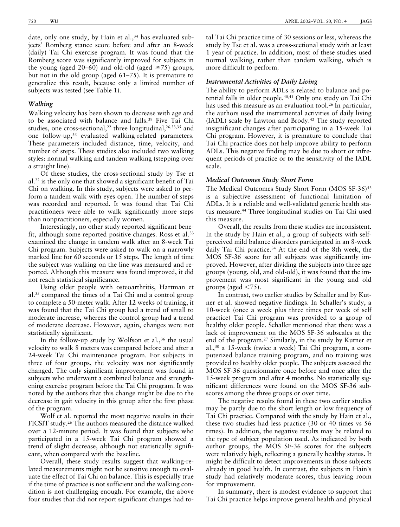date, only one study, by Hain et al.,<sup>34</sup> has evaluated subjects' Romberg stance score before and after an 8-week (daily) Tai Chi exercise program. It was found that the Romberg score was significantly improved for subjects in the young (aged 20–60) and old-old (aged  $\geq$ 75) groups, but not in the old group (aged 61–75). It is premature to generalize this result, because only a limited number of subjects was tested (see Table 1).

## *Walking*

Walking velocity has been shown to decrease with age and to be associated with balance and falls.39 Five Tai Chi studies, one cross-sectional,<sup>22</sup> three longitudinal,<sup>26,33,35</sup> and one follow-up,36 evaluated walking-related parameters. These parameters included distance, time, velocity, and number of steps. These studies also included two walking styles: normal walking and tandem walking (stepping over a straight line).

Of these studies, the cross-sectional study by Tse et al.22 is the only one that showed a significant benefit of Tai Chi on walking. In this study, subjects were asked to perform a tandem walk with eyes open. The number of steps was recorded and reported. It was found that Tai Chi practitioners were able to walk significantly more steps than nonpractitioners, especially women.

Interestingly, no other study reported significant benefit, although some reported positive changes. Ross et al.<sup>33</sup> examined the change in tandem walk after an 8-week Tai Chi program. Subjects were asked to walk on a narrowly marked line for 60 seconds or 15 steps. The length of time the subject was walking on the line was measured and reported. Although this measure was found improved, it did not reach statistical significance.

Using older people with osteoarthritis, Hartman et al.35 compared the times of a Tai Chi and a control group to complete a 50-meter walk. After 12 weeks of training, it was found that the Tai Chi group had a trend of small to moderate increase, whereas the control group had a trend of moderate decrease. However, again, changes were not statistically significant.

In the follow-up study by Wolfson et al.,  $36$  the usual velocity to walk 8 meters was compared before and after a 24-week Tai Chi maintenance program. For subjects in three of four groups, the velocity was not significantly changed. The only significant improvement was found in subjects who underwent a combined balance and strengthening exercise program before the Tai Chi program. It was noted by the authors that this change might be due to the decrease in gait velocity in this group after the first phase of the program.

Wolf et al. reported the most negative results in their FICSIT study.26 The authors measured the distance walked over a 12-minute period. It was found that subjects who participated in a 15-week Tai Chi program showed a trend of slight decrease, although not statistically significant, when compared with the baseline.

Overall, these study results suggest that walking-related measurements might not be sensitive enough to evaluate the effect of Tai Chi on balance. This is especially true if the time of practice is not sufficient and the walking condition is not challenging enough. For example, the above four studies that did not report significant changes had total Tai Chi practice time of 30 sessions or less, whereas the study by Tse et al. was a cross-sectional study with at least 1 year of practice. In addition, most of these studies used normal walking, rather than tandem walking, which is more difficult to perform.

#### *Instrumental Activities of Daily Living*

The ability to perform ADLs is related to balance and potential falls in older people.40,41 Only one study on Tai Chi has used this measure as an evaluation tool.<sup>26</sup> In particular, the authors used the instrumental activities of daily living (IADL) scale by Lawton and Brody.42 The study reported insignificant changes after participating in a 15-week Tai Chi program. However, it is premature to conclude that Tai Chi practice does not help improve ability to perform ADLs. This negative finding may be due to short or infrequent periods of practice or to the sensitivity of the IADL scale.

#### *Medical Outcomes Study Short Form*

The Medical Outcomes Study Short Form (MOS SF-36)<sup>43</sup> is a subjective assessment of functional limitation of ADLs. It is a reliable and well-validated generic health status measure.44 Three longitudinal studies on Tai Chi used this measure.

Overall, the results from these studies are inconsistent. In the study by Hain et al., a group of subjects with selfperceived mild balance disorders participated in an 8-week daily Tai Chi practice.<sup>34</sup> At the end of the 8th week, the MOS SF-36 score for all subjects was significantly improved. However, after dividing the subjects into three age groups (young, old, and old-old), it was found that the improvement was most significant in the young and old groups (aged  $\leq$ 75).

In contrast, two earlier studies by Schaller and by Kutner et al. showed negative findings. In Schaller's study, a 10-week (once a week plus three times per week of self practice) Tai Chi program was provided to a group of healthy older people. Schaller mentioned that there was a lack of improvement on the MOS SF-36 subscales at the end of the program.27 Similarly, in the study by Kutner et al.,30 a 15-week (twice a week) Tai Chi program, a computerized balance training program, and no training was provided to healthy older people. The subjects assessed the MOS SF-36 questionnaire once before and once after the 15-week program and after 4 months. No statistically significant differences were found on the MOS SF-36 subscores among the three groups or over time.

The negative results found in these two earlier studies may be partly due to the short length or low frequency of Tai Chi practice. Compared with the study by Hain et al., these two studies had less practice (30 or 40 times vs 56 times). In addition, the negative results may be related to the type of subject population used. As indicated by both author groups, the MOS SF-36 scores for the subjects were relatively high, reflecting a generally healthy status. It might be difficult to detect improvements in those subjects already in good health. In contrast, the subjects in Hain's study had relatively moderate scores, thus leaving room for improvement.

In summary, there is modest evidence to support that Tai Chi practice helps improve general health and physical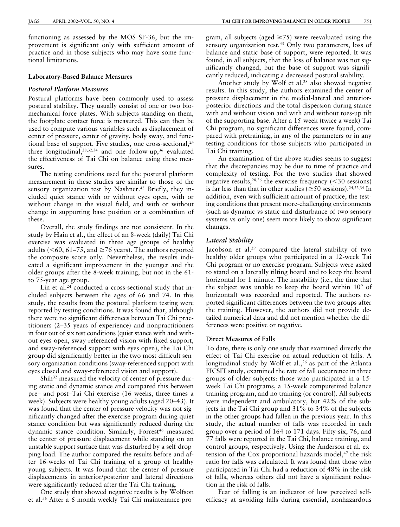functioning as assessed by the MOS SF-36, but the improvement is significant only with sufficient amount of practice and in those subjects who may have some functional limitations.

#### **Laboratory-Based Balance Measures**

#### *Postural Platform Measures*

Postural platforms have been commonly used to assess postural stability. They usually consist of one or two biomechanical force plates. With subjects standing on them, the footplate contact force is measured. This can then be used to compute various variables such as displacement of center of pressure, center of gravity, body sway, and functional base of support. Five studies, one cross-sectional,<sup>24</sup> three longitudinal,<sup>28,32,34</sup> and one follow-up,<sup>36</sup> evaluated the effectiveness of Tai Chi on balance using these measures.

The testing conditions used for the postural platform measurement in these studies are similar to those of the sensory organization test by Nashner.<sup>45</sup> Briefly, they included quiet stance with or without eyes open, with or without change in the visual field, and with or without change in supporting base position or a combination of these.

Overall, the study findings are not consistent. In the study by Hain et al., the effect of an 8-week (daily) Tai Chi exercise was evaluated in three age groups of healthy adults ( $\leq 60$ , 61–75, and  $\geq 76$  years). The authors reported the composite score only. Nevertheless, the results indicated a significant improvement in the younger and the older groups after the 8-week training, but not in the 61 to 75-year age group.

Lin et al.24 conducted a cross-sectional study that included subjects between the ages of 66 and 74. In this study, the results from the postural platform testing were reported by testing conditions. It was found that, although there were no significant differences between Tai Chi practitioners (2–35 years of experience) and nonpractitioners in four out of six test conditions (quiet stance with and without eyes open, sway-referenced vision with fixed support, and sway-referenced support with eyes open), the Tai Chi group did significantly better in the two most difficult sensory organization conditions (sway-referenced support with eyes closed and sway-referenced vision and support).

Shih<sup>32</sup> measured the velocity of center of pressure during static and dynamic stance and compared this between pre– and post–Tai Chi exercise (16 weeks, three times a week). Subjects were healthy young adults (aged 20–43). It was found that the center of pressure velocity was not significantly changed after the exercise program during quiet stance condition but was significantly reduced during the dynamic stance condition. Similarly, Forrest<sup>46</sup> measured the center of pressure displacement while standing on an unstable support surface that was disturbed by a self-dropping load. The author compared the results before and after 16-weeks of Tai Chi training of a group of healthy young subjects. It was found that the center of pressure displacements in anterior/posterior and lateral directions were significantly reduced after the Tai Chi training.

One study that showed negative results is by Wolfson et al.36 After a 6-month weekly Tai Chi maintenance pro-

gram, all subjects (aged  $\geq$ 75) were reevaluated using the sensory organization test.<sup>45</sup> Only two parameters, loss of balance and static base of support, were reported. It was found, in all subjects, that the loss of balance was not significantly changed, but the base of support was significantly reduced, indicating a decreased postural stability.

Another study by Wolf et al.<sup>28</sup> also showed negative results. In this study, the authors examined the center of pressure displacement in the medial-lateral and anteriorposterior directions and the total dispersion during stance with and without vision and with and without toes-up tilt of the supporting base. After a 15-week (twice a week) Tai Chi program, no significant differences were found, compared with pretraining, in any of the parameters or in any testing conditions for those subjects who participated in Tai Chi training.

An examination of the above studies seems to suggest that the discrepancies may be due to time of practice and complexity of testing. For the two studies that showed negative results,  $28,36$  the exercise frequency (<30 sessions) is far less than that in other studies ( $\geq$ 50 sessions).<sup>24,32,34</sup> In addition, even with sufficient amount of practice, the testing conditions that present more-challenging environments (such as dynamic vs static and disturbance of two sensory systems vs only one) seem more likely to show significant changes.

## *Lateral Stability*

Jacobson et al.<sup>29</sup> compared the lateral stability of two healthy older groups who participated in a 12-week Tai Chi program or no exercise program. Subjects were asked to stand on a laterally tilting board and to keep the board horizontal for 1 minute. The instability (i.e., the time that the subject was unable to keep the board within  $10^{\circ}$  of horizontal) was recorded and reported. The authors reported significant differences between the two groups after the training. However, the authors did not provide detailed numerical data and did not mention whether the differences were positive or negative.

#### **Direct Measures of Falls**

To date, there is only one study that examined directly the effect of Tai Chi exercise on actual reduction of falls. A longitudinal study by Wolf et al.,<sup>26</sup> as part of the Atlanta FICSIT study, examined the rate of fall occurrence in three groups of older subjects: those who participated in a 15 week Tai Chi programs, a 15-week computerized balance training program, and no training (or control). All subjects were independent and ambulatory, but 42% of the subjects in the Tai Chi group and 31% to 34% of the subjects in the other groups had fallen in the previous year. In this study, the actual number of falls was recorded in each group over a period of 164 to 171 days. Fifty-six, 76, and 77 falls were reported in the Tai Chi, balance training, and control groups, respectively. Using the Anderson et al. extension of the Cox proportional hazards model,<sup>47</sup> the risk ratio for falls was calculated. It was found that those who participated in Tai Chi had a reduction of 48% in the risk of falls, whereas others did not have a significant reduction in the risk of falls.

Fear of falling is an indicator of low perceived selfefficacy at avoiding falls during essential, nonhazardous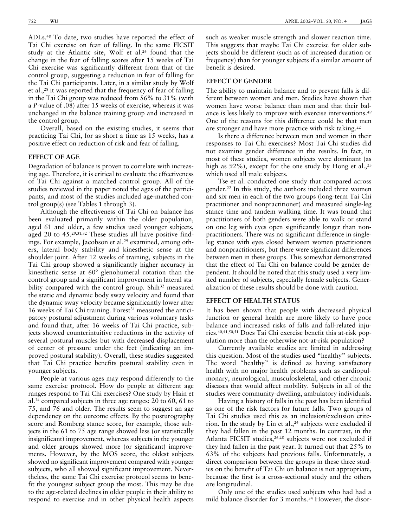ADLs.48 To date, two studies have reported the effect of Tai Chi exercise on fear of falling. In the same FICSIT study at the Atlantic site, Wolf et al.<sup>26</sup> found that the change in the fear of falling scores after 15 weeks of Tai Chi exercise was significantly different from that of the control group, suggesting a reduction in fear of falling for the Tai Chi participants. Later, in a similar study by Wolf et al.,28 it was reported that the frequency of fear of falling in the Tai Chi group was reduced from 56% to 31% (with a *P*-value of .08) after 15 weeks of exercise, whereas it was unchanged in the balance training group and increased in the control group.

Overall, based on the existing studies, it seems that practicing Tai Chi, for as short a time as 15 weeks, has a positive effect on reduction of risk and fear of falling.

## **EFFECT OF AGE**

Degradation of balance is proven to correlate with increasing age. Therefore, it is critical to evaluate the effectiveness of Tai Chi against a matched control group. All of the studies reviewed in the paper noted the ages of the participants, and most of the studies included age-matched control group(s) (see Tables 1 through 3).

Although the effectiveness of Tai Chi on balance has been evaluated primarily within the older population, aged 61 and older, a few studies used younger subjects, aged 20 to 45.<sup>29,31,32</sup> These studies all have positive findings. For example, Jacobson et al.<sup>29</sup> examined, among others, lateral body stability and kinesthetic sense at the shoulder joint. After 12 weeks of training, subjects in the Tai Chi group showed a significantly higher accuracy in kinesthetic sense at  $60^\circ$  glenohumeral rotation than the control group and a significant improvement in lateral stability compared with the control group. Shih<sup>32</sup> measured the static and dynamic body sway velocity and found that the dynamic sway velocity became significantly lower after 16 weeks of Tai Chi training. Forest $31$  measured the anticipatory postural adjustment during various voluntary tasks and found that, after 16 weeks of Tai Chi practice, subjects showed counterintuitive reductions in the activity of several postural muscles but with decreased displacement of center of pressure under the feet (indicating an improved postural stability). Overall, these studies suggested that Tai Chi practice benefits postural stability even in younger subjects.

People at various ages may respond differently to the same exercise protocol. How do people at different age ranges respond to Tai Chi exercises? One study by Hain et al.34 compared subjects in three age ranges: 20 to 60, 61 to 75, and 76 and older. The results seem to suggest an age dependency on the outcome effects. By the posturography score and Romberg stance score, for example, those subjects in the 61 to 75 age range showed less (or statistically insignificant) improvement, whereas subjects in the younger and older groups showed more (or significant) improvements. However, by the MOS score, the oldest subjects showed no significant improvement compared with younger subjects, who all showed significant improvement. Nevertheless, the same Tai Chi exercise protocol seems to benefit the youngest subject group the most. This may be due to the age-related declines in older people in their ability to respond to exercise and in other physical health aspects

such as weaker muscle strength and slower reaction time. This suggests that maybe Tai Chi exercise for older subjects should be different (such as of increased duration or frequency) than for younger subjects if a similar amount of benefit is desired.

# **EFFECT OF GENDER**

The ability to maintain balance and to prevent falls is different between women and men. Studies have shown that women have worse balance than men and that their balance is less likely to improve with exercise interventions.49 One of the reasons for this difference could be that men are stronger and have more practice with risk taking.<sup>22</sup>

Is there a difference between men and women in their responses to Tai Chi exercises? Most Tai Chi studies did not examine gender difference in the results. In fact, in most of these studies, women subjects were dominant (as high as  $92\%$ ), except for the one study by Hong et al.,<sup>23</sup> which used all male subjects.

Tse et al. conducted one study that compared across gender.22 In this study, the authors included three women and six men in each of the two groups (long-term Tai Chi practitioner and nonpractitioner) and measured single-leg stance time and tandem walking time. It was found that practitioners of both genders were able to walk or stand on one leg with eyes open significantly longer than nonpractitioners. There was no significant difference in singleleg stance with eyes closed between women practitioners and nonpractitioners, but there were significant differences between men in these groups. This somewhat demonstrated that the effect of Tai Chi on balance could be gender dependent. It should be noted that this study used a very limited number of subjects, especially female subjects. Generalization of these results should be done with caution.

## **EFFECT OF HEALTH STATUS**

It has been shown that people with decreased physical function or general health are more likely to have poor balance and increased risks of falls and fall-related injuries.40,41,50,51 Does Tai Chi exercise benefit this at-risk population more than the otherwise not-at-risk population?

Currently available studies are limited in addressing this question. Most of the studies used "healthy" subjects. The word "healthy" is defined as having satisfactory health with no major health problems such as cardiopulmonary, neurological, musculoskeletal, and other chronic diseases that would affect mobility. Subjects in all of the studies were community-dwelling, ambulatory individuals.

Having a history of falls in the past has been identified as one of the risk factors for future falls. Two groups of Tai Chi studies used this as an inclusion/exclusion criterion. In the study by Lin et al.,<sup>24</sup> subjects were excluded if they had fallen in the past 12 months. In contrast, in the Atlanta FICSIT studies,<sup>26,28</sup> subjects were not excluded if they had fallen in the past year. It turned out that 25% to 63% of the subjects had previous falls. Unfortunately, a direct comparison between the groups in these three studies on the benefit of Tai Chi on balance is not appropriate, because the first is a cross-sectional study and the others are longitudinal.

Only one of the studies used subjects who had had a mild balance disorder for 3 months.<sup>34</sup> However, the disor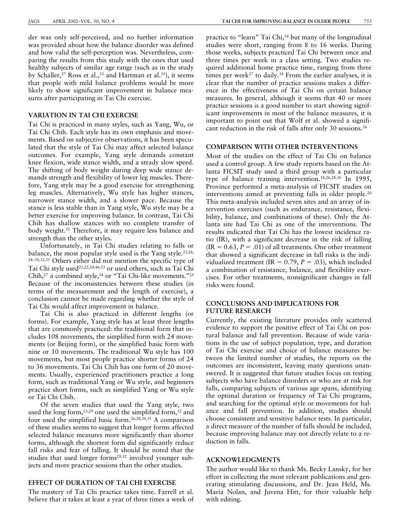der was only self-perceived, and no further information was provided about how the balance disorder was defined and how valid the self-perception was. Nevertheless, comparing the results from this study with the ones that used healthy subjects of similar age range (such as in the study by Schaller,<sup>27</sup> Ross et al.,<sup>33</sup> and Hartman et al.<sup>35</sup>), it seems that people with mild balance problems would be more likely to show significant improvement in balance measures after participating in Tai Chi exercise.

#### **VARIATION IN TAI CHI EXERCISE**

Tai Chi is practiced in many styles, such as Yang, Wu, or Tai Chi Chih. Each style has its own emphasis and movements. Based on subjective observations, it has been speculated that the style of Tai Chi may affect selected balance outcomes. For example, Yang style demands constant knee flexion, wide stance width, and a steady slow speed. The shifting of body weight during deep wide stance demands strength and flexibility of lower leg muscles. Therefore, Yang style may be a good exercise for strengthening leg muscles. Alternatively, Wu style has higher stances, narrower stance width, and a slower pace. Because the stance is less stable than in Yang style, Wu style may be a better exercise for improving balance. In contrast, Tai Chi Chih has shallow stances with no complete transfer of body weight.52 Therefore, it may require less balance and strength than the other styles.

Unfortunately, in Tai Chi studies relating to falls or balance, the most popular style used is the Yang style.23,26, 28–30,32,35 Others either did not mention the specific type of Tai Chi style used21,22,24,46,53 or used others, such as Tai Chi Chih,<sup>27</sup> a combined style,<sup>34</sup> or "Tai Chi-like movements."<sup>25</sup> Because of the inconsistencies between these studies (in terms of the measurement and the length of exercise), a conclusion cannot be made regarding whether the style of Tai Chi would affect improvement in balance.

Tai Chi is also practiced in different lengths (or forms). For example, Yang style has at least three lengths that are commonly practiced: the traditional form that includes 108 movements, the simplified form with 24 movements (or Beijing form), or the simplified basic form with nine or 10 movements. The traditional Wu style has 100 movements, but most people practice shorter forms of 24 to 36 movements. Tai Chi Chih has one form of 20 movements. Usually, experienced practitioners practice a long form, such as traditional Yang or Wu style, and beginners practice short forms, such as simplified Yang or Wu style or Tai Chi Chih.

Of the seven studies that used the Yang style, two used the long form,<sup>23,29</sup> one used the simplified form,<sup>32</sup> and four used the simplified basic form.26,28,30,35 A comparison of these studies seems to suggest that longer forms affected selected balance measures more significantly than shorter forms, although the shortest form did significantly reduce fall risks and fear of falling. It should be noted that the studies that used longer forms<sup>29,32</sup> involved younger subjects and more practice sessions than the other studies.

#### **EFFECT OF DURATION OF TAI CHI EXERCISE**

The mastery of Tai Chi practice takes time. Farrell et al. believe that it takes at least a year of three times a week of

practice to "learn" Tai Chi,<sup>54</sup> but many of the longitudinal studies were short, ranging from 8 to 16 weeks. During those weeks, subjects practiced Tai Chi between once and three times per week in a class setting. Two studies required additional home practice time, ranging from three times per week<sup>27</sup> to daily.<sup>34</sup> From the earlier analyses, it is clear that the number of practice sessions makes a difference in the effectiveness of Tai Chi on certain balance measures. In general, although it seems that 40 or more practice sessions is a good number to start showing significant improvements in most of the balance measures, it is important to point out that Wolf et al. showed a significant reduction in the risk of falls after only 30 sessions.26

#### **COMPARISON WITH OTHER INTERVENTIONS**

Most of the studies on the effect of Tai Chi on balance used a control group. A few study reports based on the Atlanta FICSIT study used a third group with a particular type of balance training intervention.18,26,28,30 In 1995, Province performed a meta-analysis of FICSIT studies on interventions aimed at preventing falls in older people.20 This meta-analysis included seven sites and an array of intervention exercises (such as endurance, resistance, flexibility, balance, and combinations of these). Only the Atlanta site had Tai Chi as one of the interventions. The results indicated that Tai Chi has the lowest incidence ratio (IR), with a significant decrease in the risk of falling  $(IR = 0.63, P = .01)$  of all treatments. One other treatment that showed a significant decrease in fall risks is the individualized treatment (IR =  $0.79$ , *P* =  $.03$ ), which included a combination of resistance, balance, and flexibility exercises. For other treatments, nonsignificant changes in fall risks were found.

## **CONCLUSIONS AND IMPLICATIONS FOR FUTURE RESEARCH**

Currently, the existing literature provides only scattered evidence to support the positive effect of Tai Chi on postural balance and fall prevention. Because of wide variations in the use of subject population, type, and duration of Tai Chi exercise and choice of balance measures between the limited number of studies, the reports on the outcomes are inconsistent, leaving many questions unanswered. It is suggested that future studies focus on testing subjects who have balance disorders or who are at risk for falls, comparing subjects of various age spans, identifying the optimal duration or frequency of Tai Chi programs, and searching for the optimal style or movements for balance and fall prevention. In addition, studies should choose consistent and sensitive balance tests. In particular, a direct measure of the number of falls should be included, because improving balance may not directly relate to a reduction in falls.

# **ACKNOWLEDGMENTS**

The author would like to thank Ms. Becky Lansky, for her effort in collecting the most relevant publications and generating stimulating discussions, and Dr. Jean Held, Ms. Maria Nolan, and Juvena Hitt, for their valuable help with editing.